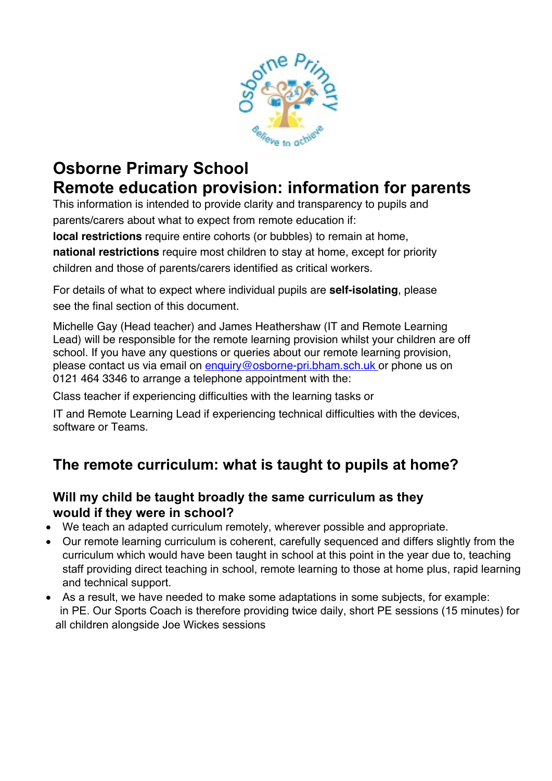

# **Osborne Primary School Remote education provision: information for parents**

This information is intended to provide clarity and transparency to pupils and parents/carers about what to expect from remote education if:

**local restrictions** require entire cohorts (or bubbles) to remain at home, **national restrictions** require most children to stay at home, except for priority children and those of parents/carers identified as critical workers.

For details of what to expect where individual pupils are **self-isolating**, please see the final section of this document.

Michelle Gay (Head teacher) and James Heathershaw (IT and Remote Learning Lead) will be responsible for the remote learning provision whilst your children are off school. If you have any questions or queries about our remote learning provision, please contact us via email on enquiry@osborne-pri.bham.sch.uk or phone us on 0121 464 3346 to arrange a telephone appointment with the:

Class teacher if experiencing difficulties with the learning tasks or

IT and Remote Learning Lead if experiencing technical difficulties with the devices, software or Teams.

## **The remote curriculum: what is taught to pupils at home?**

#### **Will my child be taught broadly the same curriculum as they would if they were in school?**

- We teach an adapted curriculum remotely, wherever possible and appropriate.
- Our remote learning curriculum is coherent, carefully sequenced and differs slightly from the curriculum which would have been taught in school at this point in the year due to, teaching staff providing direct teaching in school, remote learning to those at home plus, rapid learning and technical support.
- As a result, we have needed to make some adaptations in some subjects, for example: in PE. Our Sports Coach is therefore providing twice daily, short PE sessions (15 minutes) for all children alongside Joe Wickes sessions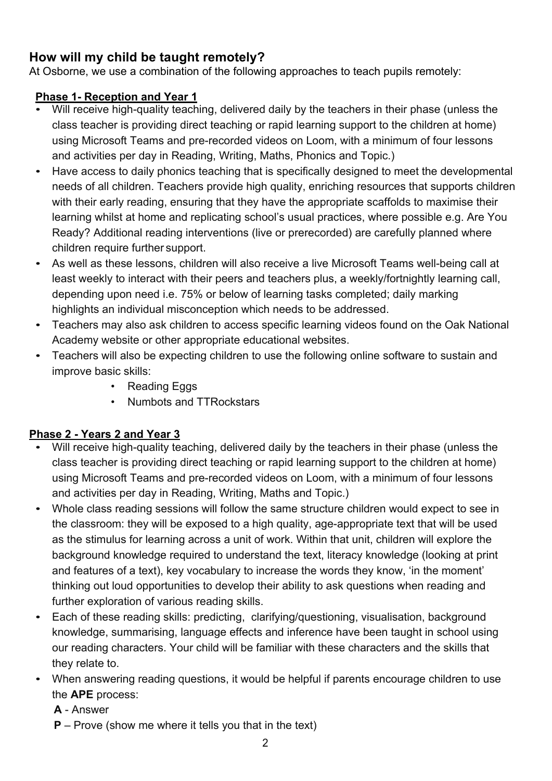### **How will my child be taught remotely?**

At Osborne, we use a combination of the following approaches to teach pupils remotely:

#### **Phase 1- Reception and Year 1**

- Will receive high-quality teaching, delivered daily by the teachers in their phase (unless the class teacher is providing direct teaching or rapid learning support to the children at home) using Microsoft Teams and pre-recorded videos on Loom, with a minimum of four lessons and activities per day in Reading, Writing, Maths, Phonics and Topic.)
- Have access to daily phonics teaching that is specifically designed to meet the developmental needs of all children. Teachers provide high quality, enriching resources that supports children with their early reading, ensuring that they have the appropriate scaffolds to maximise their learning whilst at home and replicating school's usual practices, where possible e.g. Are You Ready? Additional reading interventions (live or prerecorded) are carefully planned where children require further support.
- As well as these lessons, children will also receive a live Microsoft Teams well-being call at least weekly to interact with their peers and teachers plus, a weekly/fortnightly learning call, depending upon need i.e. 75% or below of learning tasks completed; daily marking highlights an individual misconception which needs to be addressed.
- Teachers may also ask children to access specific learning videos found on the Oak National Academy website or other appropriate educational websites.
- Teachers will also be expecting children to use the following online software to sustain and improve basic skills:
	- Reading Eggs
	- Numbots and TTRockstars

#### **Phase 2 - Years 2 and Year 3**

- Will receive high-quality teaching, delivered daily by the teachers in their phase (unless the class teacher is providing direct teaching or rapid learning support to the children at home) using Microsoft Teams and pre-recorded videos on Loom, with a minimum of four lessons and activities per day in Reading, Writing, Maths and Topic.)
- Whole class reading sessions will follow the same structure children would expect to see in the classroom: they will be exposed to a high quality, age-appropriate text that will be used as the stimulus for learning across a unit of work. Within that unit, children will explore the background knowledge required to understand the text, literacy knowledge (looking at print and features of a text), key vocabulary to increase the words they know, 'in the moment' thinking out loud opportunities to develop their ability to ask questions when reading and further exploration of various reading skills.
- Each of these reading skills: predicting, clarifying/questioning, visualisation, background knowledge, summarising, language effects and inference have been taught in school using our reading characters. Your child will be familiar with these characters and the skills that they relate to.
- When answering reading questions, it would be helpful if parents encourage children to use the **APE** process:
	- **A** Answer
	- **P** Prove (show me where it tells you that in the text)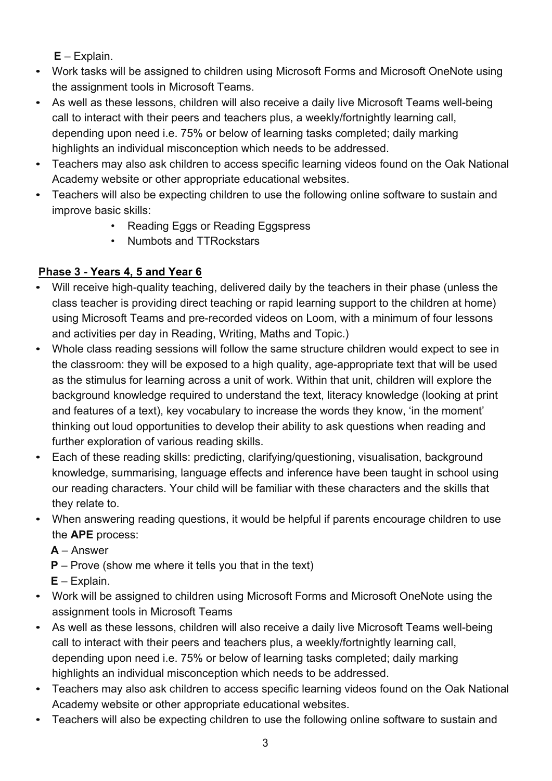**E** – Explain.

- Work tasks will be assigned to children using Microsoft Forms and Microsoft OneNote using the assignment tools in Microsoft Teams.
- As well as these lessons, children will also receive a daily live Microsoft Teams well-being call to interact with their peers and teachers plus, a weekly/fortnightly learning call, depending upon need i.e. 75% or below of learning tasks completed; daily marking highlights an individual misconception which needs to be addressed.
- Teachers may also ask children to access specific learning videos found on the Oak National Academy website or other appropriate educational websites.
- Teachers will also be expecting children to use the following online software to sustain and improve basic skills:
	- Reading Eggs or Reading Eggspress
	- Numbots and TTRockstars

### **Phase 3 - Years 4, 5 and Year 6**

- Will receive high-quality teaching, delivered daily by the teachers in their phase (unless the class teacher is providing direct teaching or rapid learning support to the children at home) using Microsoft Teams and pre-recorded videos on Loom, with a minimum of four lessons and activities per day in Reading, Writing, Maths and Topic.)
- Whole class reading sessions will follow the same structure children would expect to see in the classroom: they will be exposed to a high quality, age-appropriate text that will be used as the stimulus for learning across a unit of work. Within that unit, children will explore the background knowledge required to understand the text, literacy knowledge (looking at print and features of a text), key vocabulary to increase the words they know, 'in the moment' thinking out loud opportunities to develop their ability to ask questions when reading and further exploration of various reading skills.
- Each of these reading skills: predicting, clarifying/questioning, visualisation, background knowledge, summarising, language effects and inference have been taught in school using our reading characters. Your child will be familiar with these characters and the skills that they relate to.
- When answering reading questions, it would be helpful if parents encourage children to use the **APE** process:

**A** – Answer

**P** – Prove (show me where it tells you that in the text)

 **E** – Explain.

- Work will be assigned to children using Microsoft Forms and Microsoft OneNote using the assignment tools in Microsoft Teams
- As well as these lessons, children will also receive a daily live Microsoft Teams well-being call to interact with their peers and teachers plus, a weekly/fortnightly learning call, depending upon need i.e. 75% or below of learning tasks completed; daily marking highlights an individual misconception which needs to be addressed.
- Teachers may also ask children to access specific learning videos found on the Oak National Academy website or other appropriate educational websites.
- Teachers will also be expecting children to use the following online software to sustain and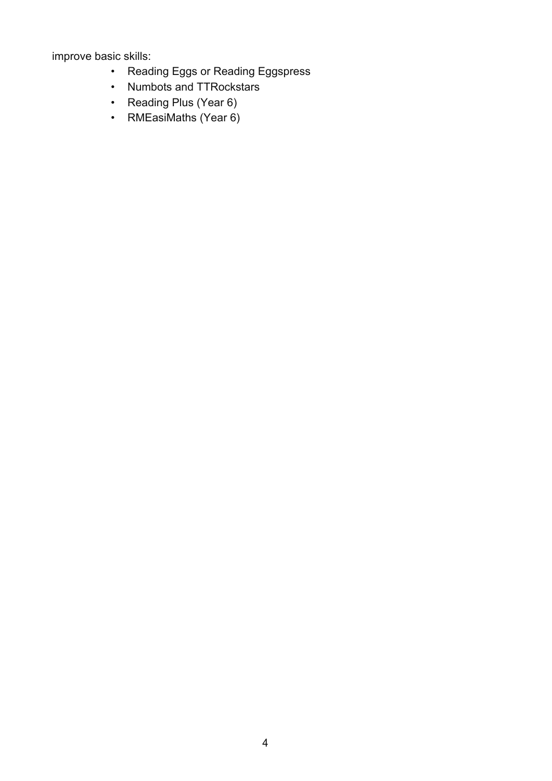improve basic skills:

- Reading Eggs or Reading Eggspress
- Numbots and TTRockstars
- Reading Plus (Year 6)
- RMEasiMaths (Year 6)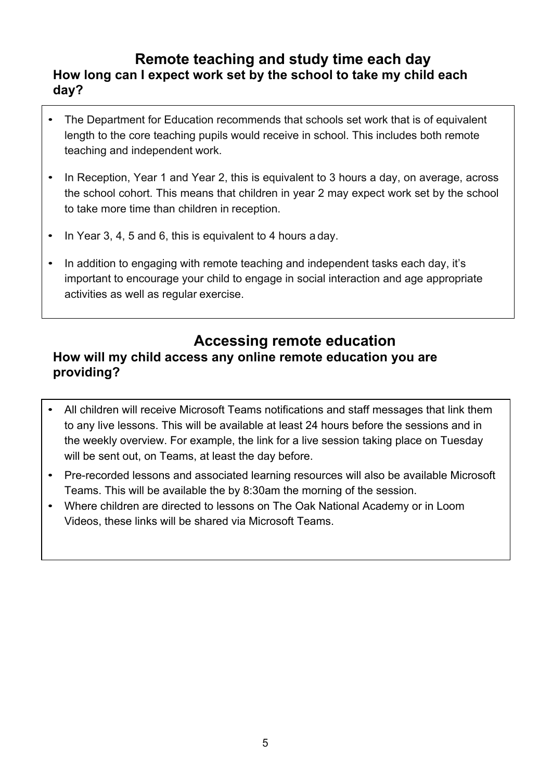#### **Remote teaching and study time each day How long can I expect work set by the school to take my child each day?**

- The Department for Education recommends that schools set work that is of equivalent length to the core teaching pupils would receive in school. This includes both remote teaching and independent work.
- In Reception, Year 1 and Year 2, this is equivalent to 3 hours a day, on average, across the school cohort. This means that children in year 2 may expect work set by the school to take more time than children in reception.
- In Year 3, 4, 5 and 6, this is equivalent to 4 hours a day.
- In addition to engaging with remote teaching and independent tasks each day, it's important to encourage your child to engage in social interaction and age appropriate activities as well as regular exercise.

#### **Accessing remote education How will my child access any online remote education you are providing?**

- All children will receive Microsoft Teams notifications and staff messages that link them to any live lessons. This will be available at least 24 hours before the sessions and in the weekly overview. For example, the link for a live session taking place on Tuesday will be sent out, on Teams, at least the day before.
- Pre-recorded lessons and associated learning resources will also be available Microsoft Teams. This will be available the by 8:30am the morning of the session.
- Where children are directed to lessons on The Oak National Academy or in Loom Videos, these links will be shared via Microsoft Teams.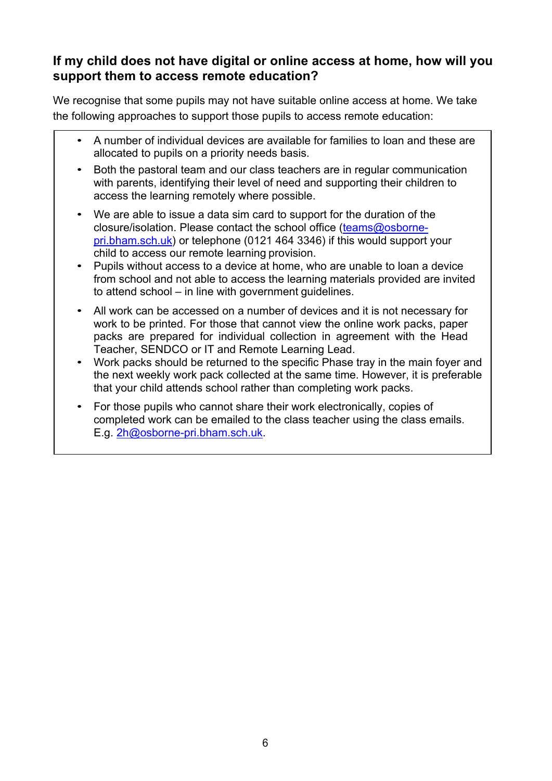#### **If my child does not have digital or online access at home, how will you support them to access remote education?**

We recognise that some pupils may not have suitable online access at home. We take the following approaches to support those pupils to access remote education:

- A number of individual devices are available for families to loan and these are allocated to pupils on a priority needs basis.
- Both the pastoral team and our class teachers are in regular communication with parents, identifying their level of need and supporting their children to access the learning remotely where possible.
- We are able to issue a data sim card to support for the duration of the closure/isolation. Please contact the school office (teams@osbornepri.bham.sch.uk) or telephone (0121 464 3346) if this would support your child to access our remote learning provision.
- Pupils without access to a device at home, who are unable to loan a device from school and not able to access the learning materials provided are invited to attend school – in line with government guidelines.
- All work can be accessed on a number of devices and it is not necessary for work to be printed. For those that cannot view the online work packs, paper packs are prepared for individual collection in agreement with the Head Teacher, SENDCO or IT and Remote Learning Lead.
- Work packs should be returned to the specific Phase tray in the main foyer and the next weekly work pack collected at the same time. However, it is preferable that your child attends school rather than completing work packs.
- For those pupils who cannot share their work electronically, copies of completed work can be emailed to the class teacher using the class emails. E.g. 2h@osborne-pri.bham.sch.uk.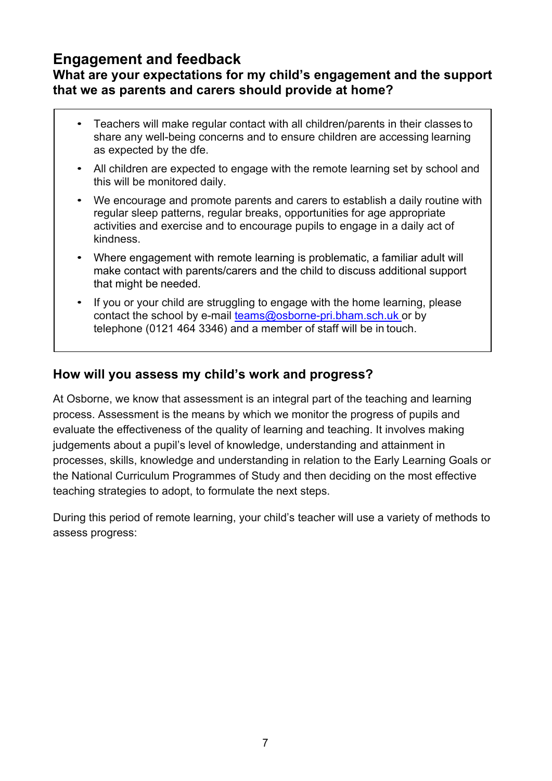### **Engagement and feedback**

#### **What are your expectations for my child's engagement and the support that we as parents and carers should provide at home?**

- Teachers will make regular contact with all children/parents in their classes to share any well-being concerns and to ensure children are accessing learning as expected by the dfe.
- All children are expected to engage with the remote learning set by school and this will be monitored daily.
- We encourage and promote parents and carers to establish a daily routine with regular sleep patterns, regular breaks, opportunities for age appropriate activities and exercise and to encourage pupils to engage in a daily act of kindness.
- Where engagement with remote learning is problematic, a familiar adult will make contact with parents/carers and the child to discuss additional support that might be needed.
- If you or your child are struggling to engage with the home learning, please contact the school by e-mail teams@osborne-pri.bham.sch.uk or by telephone (0121 464 3346) and a member of staff will be in touch.

#### **How will you assess my child's work and progress?**

At Osborne, we know that assessment is an integral part of the teaching and learning process. Assessment is the means by which we monitor the progress of pupils and evaluate the effectiveness of the quality of learning and teaching. It involves making judgements about a pupil's level of knowledge, understanding and attainment in processes, skills, knowledge and understanding in relation to the Early Learning Goals or the National Curriculum Programmes of Study and then deciding on the most effective teaching strategies to adopt, to formulate the next steps.

During this period of remote learning, your child's teacher will use a variety of methods to assess progress: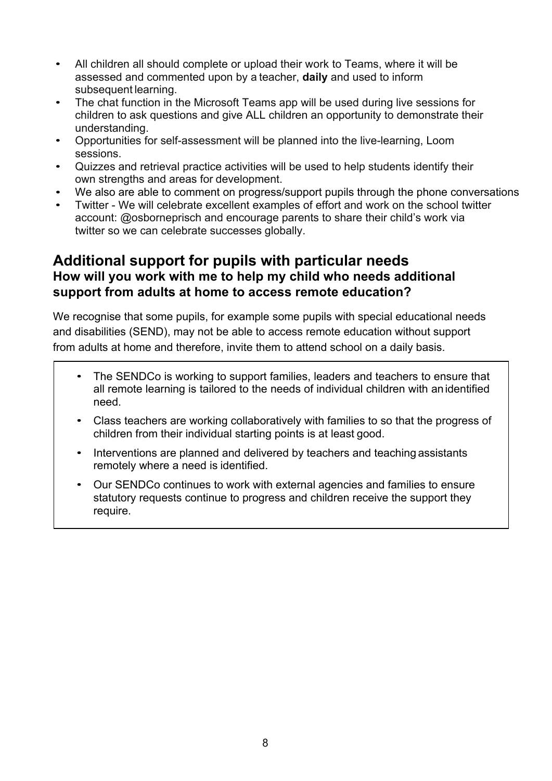- All children all should complete or upload their work to Teams, where it will be assessed and commented upon by a teacher, **daily** and used to inform subsequent learning.
- The chat function in the Microsoft Teams app will be used during live sessions for children to ask questions and give ALL children an opportunity to demonstrate their understanding.
- Opportunities for self-assessment will be planned into the live-learning, Loom sessions.
- Quizzes and retrieval practice activities will be used to help students identify their own strengths and areas for development.
- We also are able to comment on progress/support pupils through the phone conversations
- Twitter We will celebrate excellent examples of effort and work on the school twitter account: @osborneprisch and encourage parents to share their child's work via twitter so we can celebrate successes globally.

### **Additional support for pupils with particular needs How will you work with me to help my child who needs additional support from adults at home to access remote education?**

We recognise that some pupils, for example some pupils with special educational needs and disabilities (SEND), may not be able to access remote education without support from adults at home and therefore, invite them to attend school on a daily basis.

- The SENDCo is working to support families, leaders and teachers to ensure that all remote learning is tailored to the needs of individual children with anidentified need.
- Class teachers are working collaboratively with families to so that the progress of children from their individual starting points is at least good.
- Interventions are planned and delivered by teachers and teaching assistants remotely where a need is identified.
- Our SENDCo continues to work with external agencies and families to ensure statutory requests continue to progress and children receive the support they require.